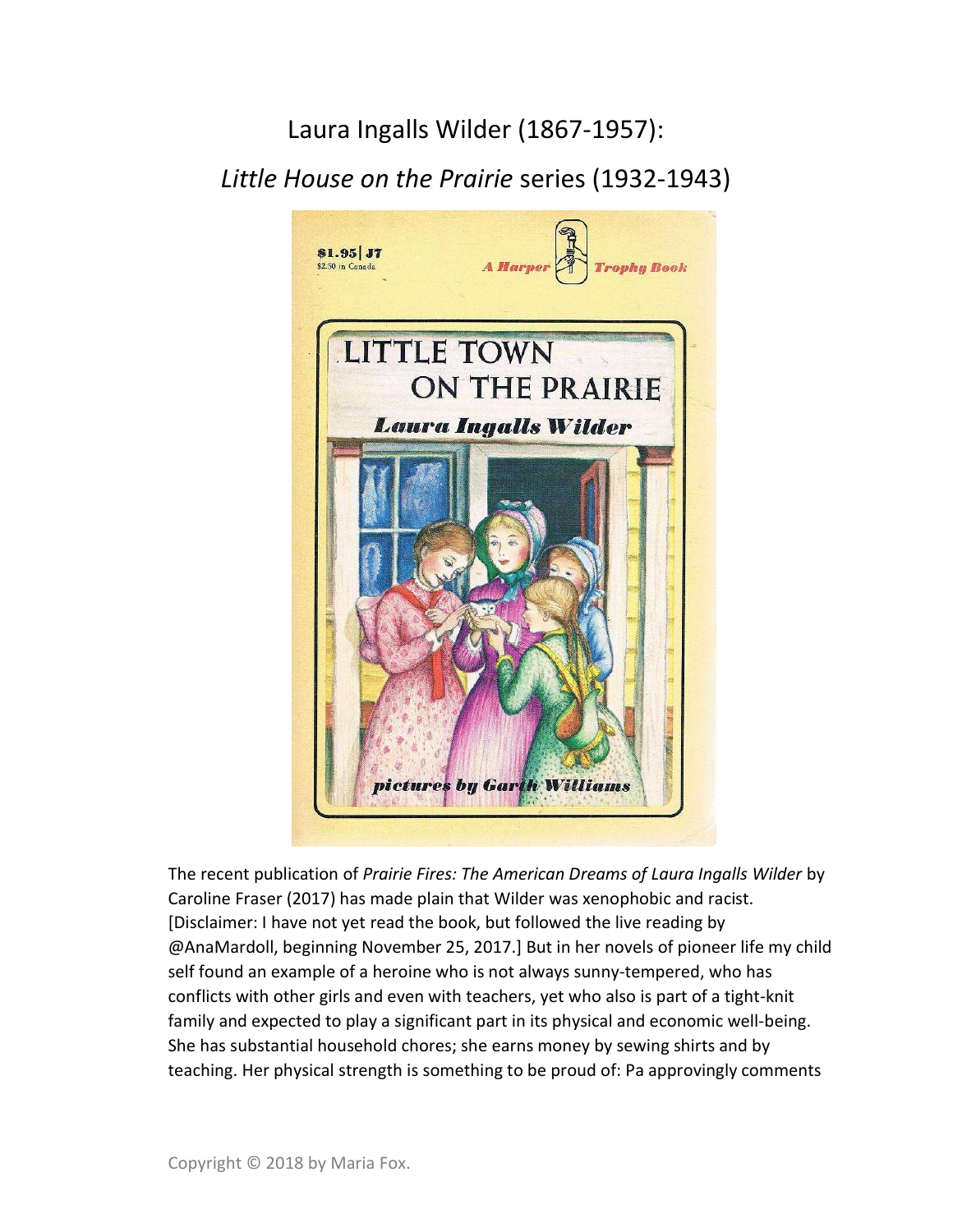## Laura Ingalls Wilder (1867-1957):

Little House on the Prairie series (1932-1943)



The recent publication of Prairie Fires: The American Dreams of Laura Ingalls Wilder by Caroline Fraser (2017) has made plain that Wilder was xenophobic and racist. [Disclaimer: I have not yet read the book, but followed the live reading by @AnaMardoll, beginning November 25, 2017.] But in her novels of pioneer life my child self found an example of a heroine who is not always sunny-tempered, who has conflicts with other girls and even with teachers, yet who also is part of a tight-knit family and expected to play a significant part in its physical and economic well-being. She has substantial household chores; she earns money by sewing shirts and by teaching. Her physical strength is something to be proud of: Pa approvingly comments